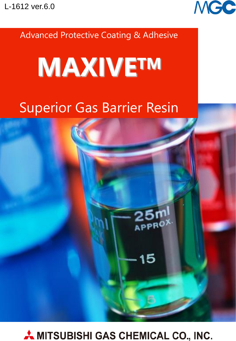

**Advanced Protective Coating & Adhesive** 

# **MAXIVETM**

## **Superior Gas Barrier Resin**



15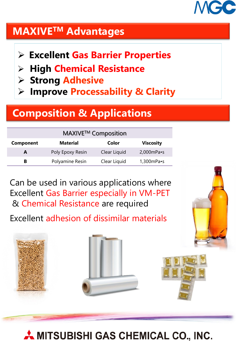

### **MAXIVETM Advantages**

- **Low** ➢ **Excellent Gas Barrier Properties**
- **Viscosity** ➢ **High Chemical Resistance**
- ➢ **Strong Adhesive**
- ➢ **Improve Processability & Clarity**

## **Composition & Applications**

| MAXIVE™ Composition |                  |              |                       |  |  |
|---------------------|------------------|--------------|-----------------------|--|--|
| <b>Component</b>    | <b>Material</b>  | Color        | <b>Viscosity</b>      |  |  |
| A                   | Poly Epoxy Resin | Clear Liquid | $2,000$ mPa $\cdot$ s |  |  |
| в                   | Polyamine Resin  | Clear Liquid | $1,300$ mPa $\cdot$ s |  |  |

Can be used in various applications where Excellent Gas Barrier especially in VM-PET & Chemical Resistance are required

Excellent adhesion of dissimilar materials

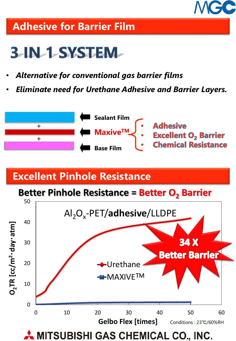

## **Adhesive for Barrier Film**

## **3-IN-1-SYSTEM-**

- *Alternative for conventional gas barrier films*
- *Eliminate need for Urethane Adhesive and Barrier Layers.*



## **Excellent Pinhole Resistance**

#### **Better Pinhole Resistance = Better O<sup>2</sup> Barrier**